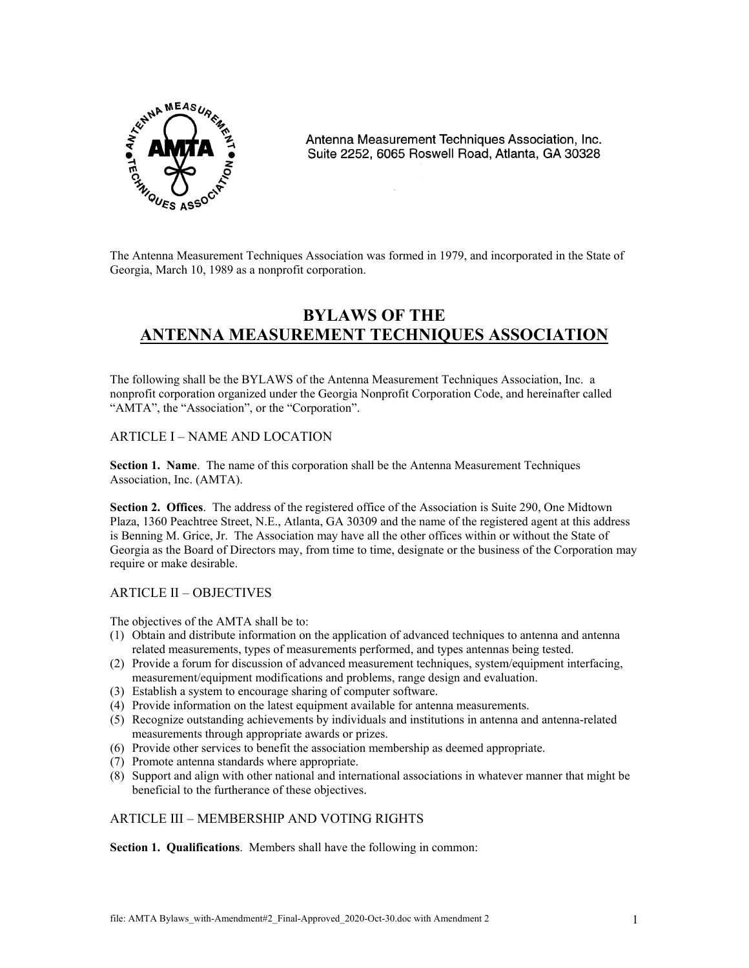

Antenna Measurement Techniques Association, Inc. Suite 2252, 6065 Roswell Road, Atlanta, GA 30328

The Antenna Measurement Techniques Association was formed in 1979, and incorporated in the State of Georgia, March 10, 1989 as a nonprofit corporation.

# **BYLAWS OF THE ANTENNA MEASUREMENT TECHNIQUES ASSOCIATION**

The following shall be the BYLAWS of the Antenna Measurement Techniques Association, Inc. a nonprofit corporation organized under the Georgia Nonprofit Corporation Code, and hereinafter called "AMTA", the "Association", or the "Corporation".

# ARTICLE I – NAME AND LOCATION

**Section 1. Name**. The name of this corporation shall be the Antenna Measurement Techniques Association, Inc. (AMTA).

**Section 2. Offices**. The address of the registered office of the Association is Suite 290, One Midtown Plaza, 1360 Peachtree Street, N.E., Atlanta, GA 30309 and the name of the registered agent at this address is Benning M. Grice, Jr. The Association may have all the other offices within or without the State of Georgia as the Board of Directors may, from time to time, designate or the business of the Corporation may require or make desirable.

# ARTICLE II – OBJECTIVES

The objectives of the AMTA shall be to:

- (1) Obtain and distribute information on the application of advanced techniques to antenna and antenna related measurements, types of measurements performed, and types antennas being tested.
- (2) Provide a forum for discussion of advanced measurement techniques, system/equipment interfacing, measurement/equipment modifications and problems, range design and evaluation.
- (3) Establish a system to encourage sharing of computer software.
- (4) Provide information on the latest equipment available for antenna measurements.
- (5) Recognize outstanding achievements by individuals and institutions in antenna and antenna-related measurements through appropriate awards or prizes.
- (6) Provide other services to benefit the association membership as deemed appropriate.
- (7) Promote antenna standards where appropriate.
- (8) Support and align with other national and international associations in whatever manner that might be beneficial to the furtherance of these objectives.

# ARTICLE III – MEMBERSHIP AND VOTING RIGHTS

**Section 1. Qualifications**. Members shall have the following in common: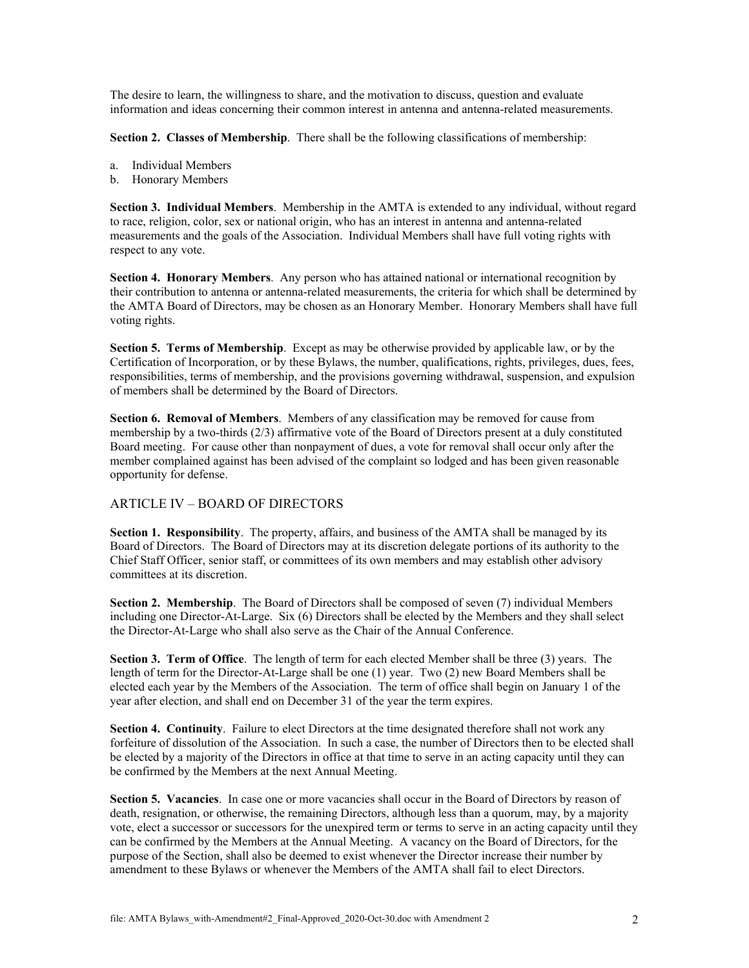The desire to learn, the willingness to share, and the motivation to discuss, question and evaluate information and ideas concerning their common interest in antenna and antenna-related measurements.

**Section 2. Classes of Membership**. There shall be the following classifications of membership:

- a. Individual Members
- b. Honorary Members

**Section 3. Individual Members**. Membership in the AMTA is extended to any individual, without regard to race, religion, color, sex or national origin, who has an interest in antenna and antenna-related measurements and the goals of the Association. Individual Members shall have full voting rights with respect to any vote.

**Section 4. Honorary Members.** Any person who has attained national or international recognition by their contribution to antenna or antenna-related measurements, the criteria for which shall be determined by the AMTA Board of Directors, may be chosen as an Honorary Member. Honorary Members shall have full voting rights.

**Section 5. Terms of Membership**. Except as may be otherwise provided by applicable law, or by the Certification of Incorporation, or by these Bylaws, the number, qualifications, rights, privileges, dues, fees, responsibilities, terms of membership, and the provisions governing withdrawal, suspension, and expulsion of members shall be determined by the Board of Directors.

**Section 6. Removal of Members**. Members of any classification may be removed for cause from membership by a two-thirds (2/3) affirmative vote of the Board of Directors present at a duly constituted Board meeting. For cause other than nonpayment of dues, a vote for removal shall occur only after the member complained against has been advised of the complaint so lodged and has been given reasonable opportunity for defense.

# ARTICLE IV – BOARD OF DIRECTORS

**Section 1. Responsibility**. The property, affairs, and business of the AMTA shall be managed by its Board of Directors. The Board of Directors may at its discretion delegate portions of its authority to the Chief Staff Officer, senior staff, or committees of its own members and may establish other advisory committees at its discretion.

**Section 2. Membership**. The Board of Directors shall be composed of seven (7) individual Members including one Director-At-Large. Six (6) Directors shall be elected by the Members and they shall select the Director-At-Large who shall also serve as the Chair of the Annual Conference.

**Section 3. Term of Office**. The length of term for each elected Member shall be three (3) years. The length of term for the Director-At-Large shall be one (1) year. Two (2) new Board Members shall be elected each year by the Members of the Association. The term of office shall begin on January 1 of the year after election, and shall end on December 31 of the year the term expires.

**Section 4. Continuity**. Failure to elect Directors at the time designated therefore shall not work any forfeiture of dissolution of the Association. In such a case, the number of Directors then to be elected shall be elected by a majority of the Directors in office at that time to serve in an acting capacity until they can be confirmed by the Members at the next Annual Meeting.

**Section 5. Vacancies**. In case one or more vacancies shall occur in the Board of Directors by reason of death, resignation, or otherwise, the remaining Directors, although less than a quorum, may, by a majority vote, elect a successor or successors for the unexpired term or terms to serve in an acting capacity until they can be confirmed by the Members at the Annual Meeting. A vacancy on the Board of Directors, for the purpose of the Section, shall also be deemed to exist whenever the Director increase their number by amendment to these Bylaws or whenever the Members of the AMTA shall fail to elect Directors.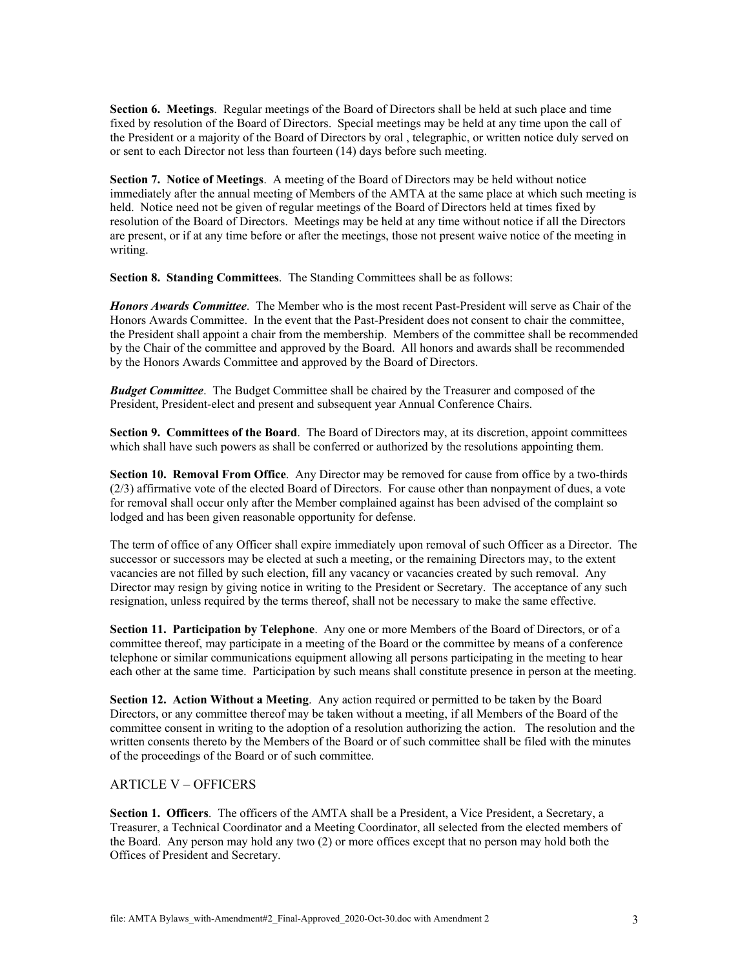**Section 6. Meetings**. Regular meetings of the Board of Directors shall be held at such place and time fixed by resolution of the Board of Directors. Special meetings may be held at any time upon the call of the President or a majority of the Board of Directors by oral , telegraphic, or written notice duly served on or sent to each Director not less than fourteen (14) days before such meeting.

**Section 7. Notice of Meetings**. A meeting of the Board of Directors may be held without notice immediately after the annual meeting of Members of the AMTA at the same place at which such meeting is held. Notice need not be given of regular meetings of the Board of Directors held at times fixed by resolution of the Board of Directors. Meetings may be held at any time without notice if all the Directors are present, or if at any time before or after the meetings, those not present waive notice of the meeting in writing.

**Section 8. Standing Committees**. The Standing Committees shall be as follows:

*Honors Awards Committee*. The Member who is the most recent Past-President will serve as Chair of the Honors Awards Committee. In the event that the Past-President does not consent to chair the committee, the President shall appoint a chair from the membership. Members of the committee shall be recommended by the Chair of the committee and approved by the Board. All honors and awards shall be recommended by the Honors Awards Committee and approved by the Board of Directors.

*Budget Committee*. The Budget Committee shall be chaired by the Treasurer and composed of the President, President-elect and present and subsequent year Annual Conference Chairs.

**Section 9. Committees of the Board**. The Board of Directors may, at its discretion, appoint committees which shall have such powers as shall be conferred or authorized by the resolutions appointing them.

**Section 10. Removal From Office**. Any Director may be removed for cause from office by a two-thirds (2/3) affirmative vote of the elected Board of Directors. For cause other than nonpayment of dues, a vote for removal shall occur only after the Member complained against has been advised of the complaint so lodged and has been given reasonable opportunity for defense.

The term of office of any Officer shall expire immediately upon removal of such Officer as a Director. The successor or successors may be elected at such a meeting, or the remaining Directors may, to the extent vacancies are not filled by such election, fill any vacancy or vacancies created by such removal. Any Director may resign by giving notice in writing to the President or Secretary. The acceptance of any such resignation, unless required by the terms thereof, shall not be necessary to make the same effective.

**Section 11. Participation by Telephone**. Any one or more Members of the Board of Directors, or of a committee thereof, may participate in a meeting of the Board or the committee by means of a conference telephone or similar communications equipment allowing all persons participating in the meeting to hear each other at the same time. Participation by such means shall constitute presence in person at the meeting.

**Section 12. Action Without a Meeting**. Any action required or permitted to be taken by the Board Directors, or any committee thereof may be taken without a meeting, if all Members of the Board of the committee consent in writing to the adoption of a resolution authorizing the action. The resolution and the written consents thereto by the Members of the Board or of such committee shall be filed with the minutes of the proceedings of the Board or of such committee.

#### ARTICLE V – OFFICERS

**Section 1. Officers**. The officers of the AMTA shall be a President, a Vice President, a Secretary, a Treasurer, a Technical Coordinator and a Meeting Coordinator, all selected from the elected members of the Board. Any person may hold any two (2) or more offices except that no person may hold both the Offices of President and Secretary.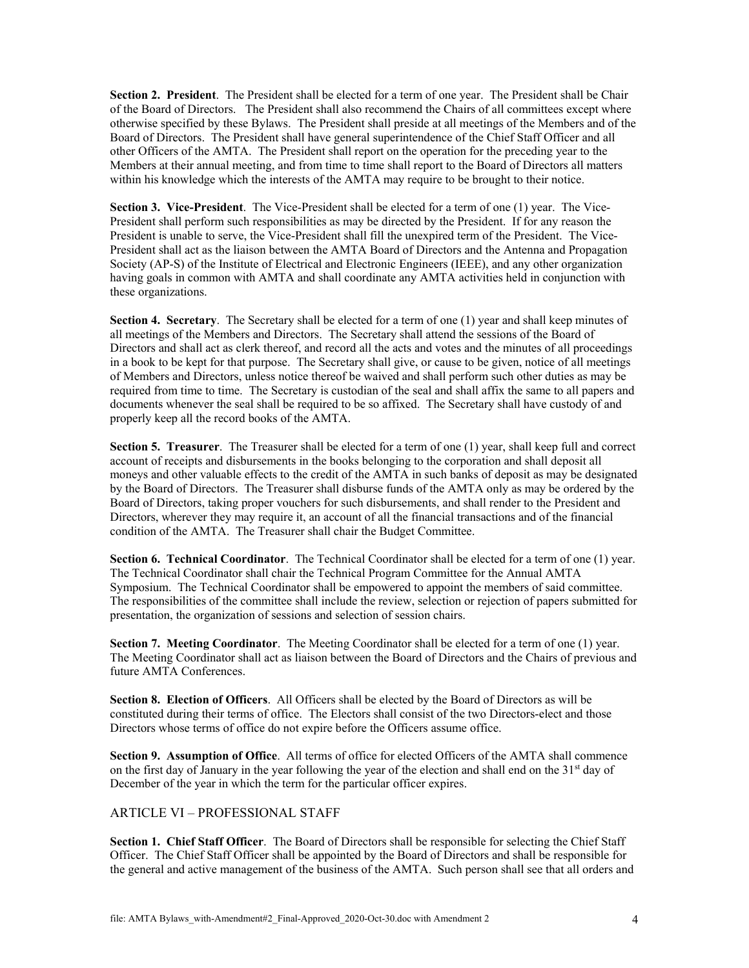**Section 2. President**. The President shall be elected for a term of one year. The President shall be Chair of the Board of Directors. The President shall also recommend the Chairs of all committees except where otherwise specified by these Bylaws. The President shall preside at all meetings of the Members and of the Board of Directors. The President shall have general superintendence of the Chief Staff Officer and all other Officers of the AMTA. The President shall report on the operation for the preceding year to the Members at their annual meeting, and from time to time shall report to the Board of Directors all matters within his knowledge which the interests of the AMTA may require to be brought to their notice.

**Section 3. Vice-President**. The Vice-President shall be elected for a term of one (1) year. The Vice-President shall perform such responsibilities as may be directed by the President. If for any reason the President is unable to serve, the Vice-President shall fill the unexpired term of the President. The Vice-President shall act as the liaison between the AMTA Board of Directors and the Antenna and Propagation Society (AP-S) of the Institute of Electrical and Electronic Engineers (IEEE), and any other organization having goals in common with AMTA and shall coordinate any AMTA activities held in conjunction with these organizations.

**Section 4. Secretary**. The Secretary shall be elected for a term of one (1) year and shall keep minutes of all meetings of the Members and Directors. The Secretary shall attend the sessions of the Board of Directors and shall act as clerk thereof, and record all the acts and votes and the minutes of all proceedings in a book to be kept for that purpose. The Secretary shall give, or cause to be given, notice of all meetings of Members and Directors, unless notice thereof be waived and shall perform such other duties as may be required from time to time. The Secretary is custodian of the seal and shall affix the same to all papers and documents whenever the seal shall be required to be so affixed. The Secretary shall have custody of and properly keep all the record books of the AMTA.

**Section 5. Treasurer**. The Treasurer shall be elected for a term of one (1) year, shall keep full and correct account of receipts and disbursements in the books belonging to the corporation and shall deposit all moneys and other valuable effects to the credit of the AMTA in such banks of deposit as may be designated by the Board of Directors. The Treasurer shall disburse funds of the AMTA only as may be ordered by the Board of Directors, taking proper vouchers for such disbursements, and shall render to the President and Directors, wherever they may require it, an account of all the financial transactions and of the financial condition of the AMTA. The Treasurer shall chair the Budget Committee.

**Section 6. Technical Coordinator**. The Technical Coordinator shall be elected for a term of one (1) year. The Technical Coordinator shall chair the Technical Program Committee for the Annual AMTA Symposium. The Technical Coordinator shall be empowered to appoint the members of said committee. The responsibilities of the committee shall include the review, selection or rejection of papers submitted for presentation, the organization of sessions and selection of session chairs.

**Section 7. Meeting Coordinator**. The Meeting Coordinator shall be elected for a term of one (1) year. The Meeting Coordinator shall act as liaison between the Board of Directors and the Chairs of previous and future AMTA Conferences.

**Section 8. Election of Officers**. All Officers shall be elected by the Board of Directors as will be constituted during their terms of office. The Electors shall consist of the two Directors-elect and those Directors whose terms of office do not expire before the Officers assume office.

**Section 9. Assumption of Office**. All terms of office for elected Officers of the AMTA shall commence on the first day of January in the year following the year of the election and shall end on the 31<sup>st</sup> day of December of the year in which the term for the particular officer expires.

#### ARTICLE VI – PROFESSIONAL STAFF

**Section 1. Chief Staff Officer**. The Board of Directors shall be responsible for selecting the Chief Staff Officer. The Chief Staff Officer shall be appointed by the Board of Directors and shall be responsible for the general and active management of the business of the AMTA. Such person shall see that all orders and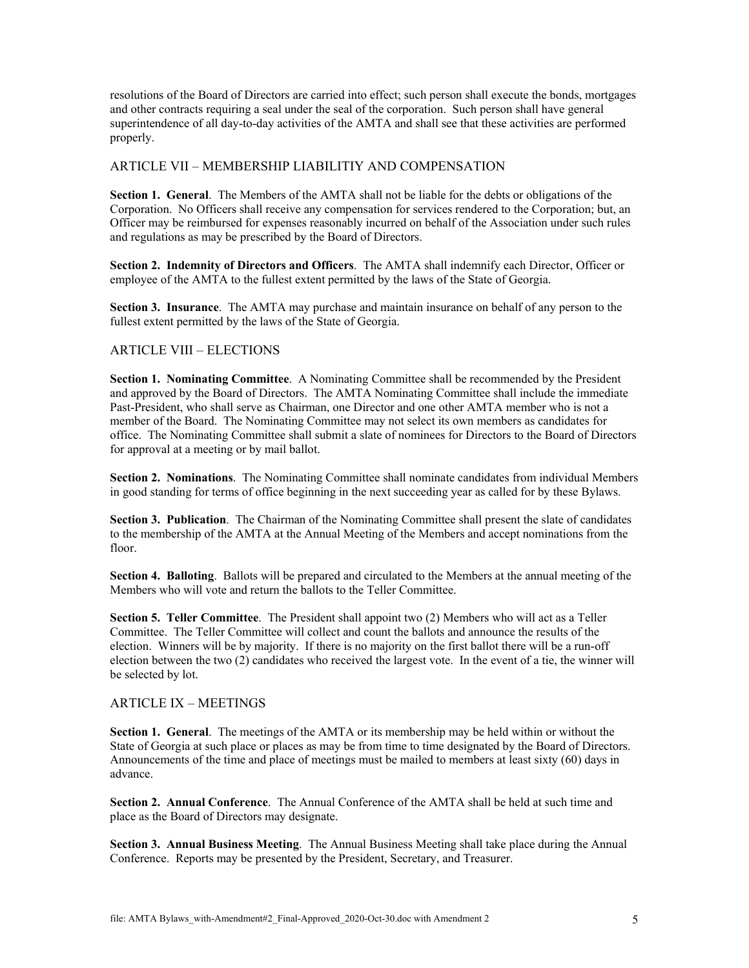resolutions of the Board of Directors are carried into effect; such person shall execute the bonds, mortgages and other contracts requiring a seal under the seal of the corporation. Such person shall have general superintendence of all day-to-day activities of the AMTA and shall see that these activities are performed properly.

### ARTICLE VII – MEMBERSHIP LIABILITIY AND COMPENSATION

**Section 1. General**. The Members of the AMTA shall not be liable for the debts or obligations of the Corporation. No Officers shall receive any compensation for services rendered to the Corporation; but, an Officer may be reimbursed for expenses reasonably incurred on behalf of the Association under such rules and regulations as may be prescribed by the Board of Directors.

**Section 2. Indemnity of Directors and Officers**. The AMTA shall indemnify each Director, Officer or employee of the AMTA to the fullest extent permitted by the laws of the State of Georgia.

**Section 3. Insurance**. The AMTA may purchase and maintain insurance on behalf of any person to the fullest extent permitted by the laws of the State of Georgia.

# ARTICLE VIII – ELECTIONS

**Section 1. Nominating Committee**. A Nominating Committee shall be recommended by the President and approved by the Board of Directors. The AMTA Nominating Committee shall include the immediate Past-President, who shall serve as Chairman, one Director and one other AMTA member who is not a member of the Board. The Nominating Committee may not select its own members as candidates for office. The Nominating Committee shall submit a slate of nominees for Directors to the Board of Directors for approval at a meeting or by mail ballot.

**Section 2. Nominations**. The Nominating Committee shall nominate candidates from individual Members in good standing for terms of office beginning in the next succeeding year as called for by these Bylaws.

**Section 3. Publication**. The Chairman of the Nominating Committee shall present the slate of candidates to the membership of the AMTA at the Annual Meeting of the Members and accept nominations from the floor.

**Section 4. Balloting**. Ballots will be prepared and circulated to the Members at the annual meeting of the Members who will vote and return the ballots to the Teller Committee.

**Section 5. Teller Committee**. The President shall appoint two (2) Members who will act as a Teller Committee. The Teller Committee will collect and count the ballots and announce the results of the election. Winners will be by majority. If there is no majority on the first ballot there will be a run-off election between the two (2) candidates who received the largest vote. In the event of a tie, the winner will be selected by lot.

#### ARTICLE IX – MEETINGS

**Section 1. General**. The meetings of the AMTA or its membership may be held within or without the State of Georgia at such place or places as may be from time to time designated by the Board of Directors. Announcements of the time and place of meetings must be mailed to members at least sixty (60) days in advance.

**Section 2. Annual Conference**. The Annual Conference of the AMTA shall be held at such time and place as the Board of Directors may designate.

**Section 3. Annual Business Meeting**. The Annual Business Meeting shall take place during the Annual Conference. Reports may be presented by the President, Secretary, and Treasurer.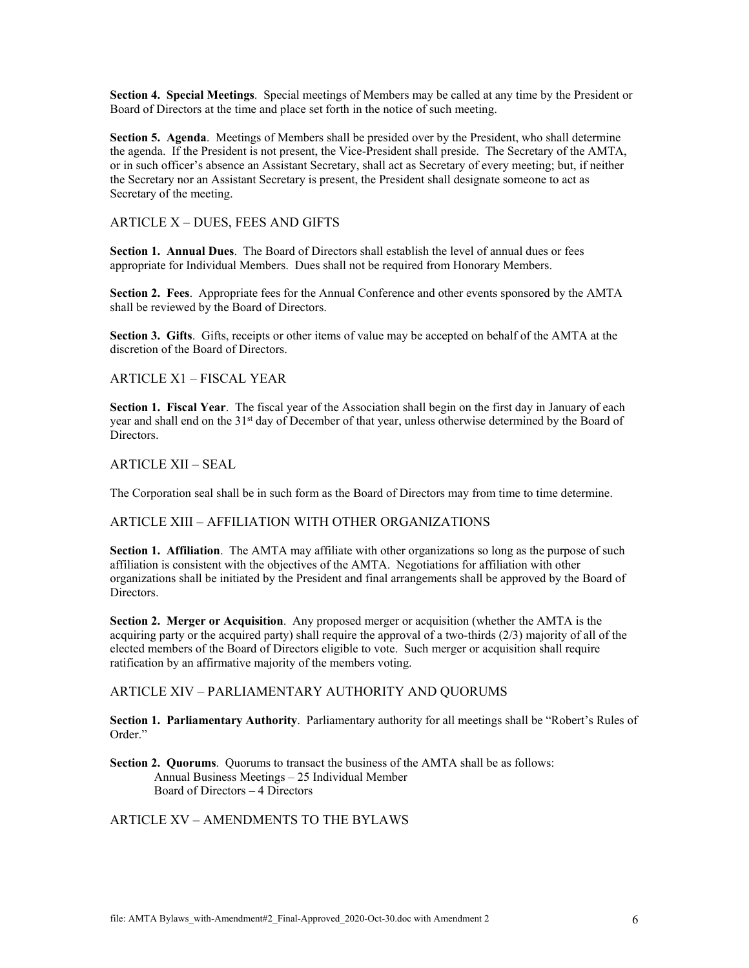**Section 4. Special Meetings**. Special meetings of Members may be called at any time by the President or Board of Directors at the time and place set forth in the notice of such meeting.

**Section 5. Agenda**. Meetings of Members shall be presided over by the President, who shall determine the agenda. If the President is not present, the Vice-President shall preside. The Secretary of the AMTA, or in such officer's absence an Assistant Secretary, shall act as Secretary of every meeting; but, if neither the Secretary nor an Assistant Secretary is present, the President shall designate someone to act as Secretary of the meeting.

#### ARTICLE X – DUES, FEES AND GIFTS

**Section 1. Annual Dues**. The Board of Directors shall establish the level of annual dues or fees appropriate for Individual Members. Dues shall not be required from Honorary Members.

**Section 2. Fees**. Appropriate fees for the Annual Conference and other events sponsored by the AMTA shall be reviewed by the Board of Directors.

**Section 3. Gifts**. Gifts, receipts or other items of value may be accepted on behalf of the AMTA at the discretion of the Board of Directors.

ARTICLE X1 – FISCAL YEAR

**Section 1. Fiscal Year**. The fiscal year of the Association shall begin on the first day in January of each year and shall end on the 31<sup>st</sup> day of December of that year, unless otherwise determined by the Board of Directors.

ARTICLE XII – SEAL

The Corporation seal shall be in such form as the Board of Directors may from time to time determine.

#### ARTICLE XIII – AFFILIATION WITH OTHER ORGANIZATIONS

**Section 1. Affiliation**. The AMTA may affiliate with other organizations so long as the purpose of such affiliation is consistent with the objectives of the AMTA. Negotiations for affiliation with other organizations shall be initiated by the President and final arrangements shall be approved by the Board of Directors.

**Section 2. Merger or Acquisition**. Any proposed merger or acquisition (whether the AMTA is the acquiring party or the acquired party) shall require the approval of a two-thirds (2/3) majority of all of the elected members of the Board of Directors eligible to vote. Such merger or acquisition shall require ratification by an affirmative majority of the members voting.

#### ARTICLE XIV – PARLIAMENTARY AUTHORITY AND QUORUMS

**Section 1. Parliamentary Authority**. Parliamentary authority for all meetings shall be "Robert's Rules of Order."

**Section 2. Quorums**. Quorums to transact the business of the AMTA shall be as follows: Annual Business Meetings – 25 Individual Member Board of Directors – 4 Directors

# ARTICLE XV – AMENDMENTS TO THE BYLAWS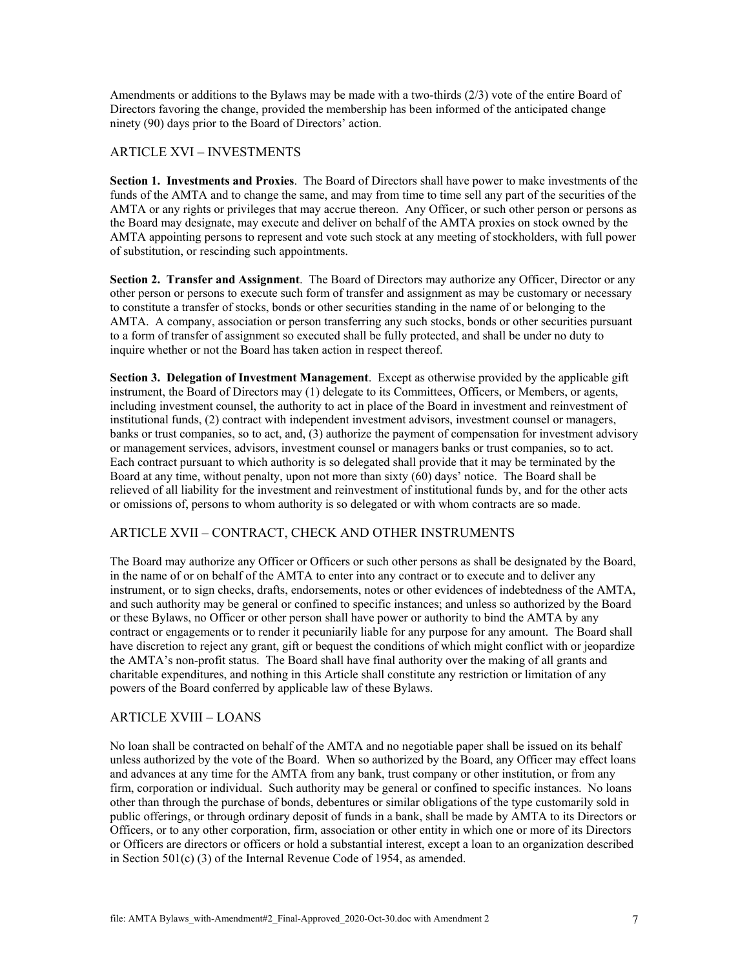Amendments or additions to the Bylaws may be made with a two-thirds (2/3) vote of the entire Board of Directors favoring the change, provided the membership has been informed of the anticipated change ninety (90) days prior to the Board of Directors' action.

### ARTICLE XVI – INVESTMENTS

**Section 1. Investments and Proxies**. The Board of Directors shall have power to make investments of the funds of the AMTA and to change the same, and may from time to time sell any part of the securities of the AMTA or any rights or privileges that may accrue thereon. Any Officer, or such other person or persons as the Board may designate, may execute and deliver on behalf of the AMTA proxies on stock owned by the AMTA appointing persons to represent and vote such stock at any meeting of stockholders, with full power of substitution, or rescinding such appointments.

**Section 2. Transfer and Assignment**. The Board of Directors may authorize any Officer, Director or any other person or persons to execute such form of transfer and assignment as may be customary or necessary to constitute a transfer of stocks, bonds or other securities standing in the name of or belonging to the AMTA. A company, association or person transferring any such stocks, bonds or other securities pursuant to a form of transfer of assignment so executed shall be fully protected, and shall be under no duty to inquire whether or not the Board has taken action in respect thereof.

**Section 3. Delegation of Investment Management**. Except as otherwise provided by the applicable gift instrument, the Board of Directors may (1) delegate to its Committees, Officers, or Members, or agents, including investment counsel, the authority to act in place of the Board in investment and reinvestment of institutional funds, (2) contract with independent investment advisors, investment counsel or managers, banks or trust companies, so to act, and, (3) authorize the payment of compensation for investment advisory or management services, advisors, investment counsel or managers banks or trust companies, so to act. Each contract pursuant to which authority is so delegated shall provide that it may be terminated by the Board at any time, without penalty, upon not more than sixty (60) days' notice. The Board shall be relieved of all liability for the investment and reinvestment of institutional funds by, and for the other acts or omissions of, persons to whom authority is so delegated or with whom contracts are so made.

#### ARTICLE XVII – CONTRACT, CHECK AND OTHER INSTRUMENTS

The Board may authorize any Officer or Officers or such other persons as shall be designated by the Board, in the name of or on behalf of the AMTA to enter into any contract or to execute and to deliver any instrument, or to sign checks, drafts, endorsements, notes or other evidences of indebtedness of the AMTA, and such authority may be general or confined to specific instances; and unless so authorized by the Board or these Bylaws, no Officer or other person shall have power or authority to bind the AMTA by any contract or engagements or to render it pecuniarily liable for any purpose for any amount. The Board shall have discretion to reject any grant, gift or bequest the conditions of which might conflict with or jeopardize the AMTA's non-profit status. The Board shall have final authority over the making of all grants and charitable expenditures, and nothing in this Article shall constitute any restriction or limitation of any powers of the Board conferred by applicable law of these Bylaws.

# ARTICLE XVIII – LOANS

No loan shall be contracted on behalf of the AMTA and no negotiable paper shall be issued on its behalf unless authorized by the vote of the Board. When so authorized by the Board, any Officer may effect loans and advances at any time for the AMTA from any bank, trust company or other institution, or from any firm, corporation or individual. Such authority may be general or confined to specific instances. No loans other than through the purchase of bonds, debentures or similar obligations of the type customarily sold in public offerings, or through ordinary deposit of funds in a bank, shall be made by AMTA to its Directors or Officers, or to any other corporation, firm, association or other entity in which one or more of its Directors or Officers are directors or officers or hold a substantial interest, except a loan to an organization described in Section 501(c) (3) of the Internal Revenue Code of 1954, as amended.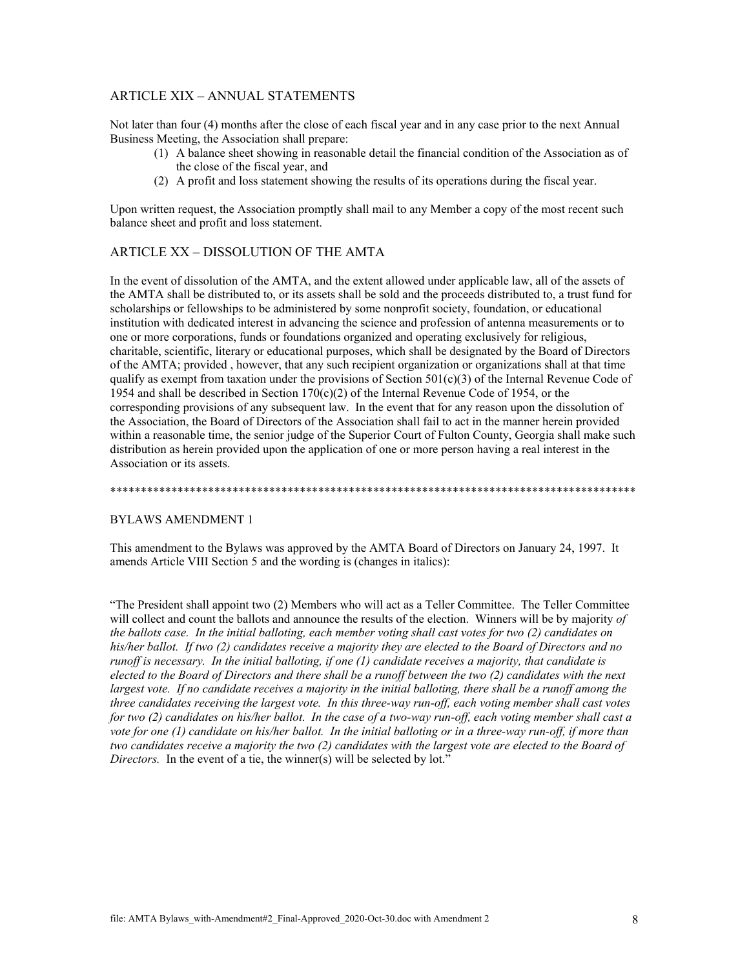### **ARTICLE XIX - ANNUAL STATEMENTS**

Not later than four (4) months after the close of each fiscal year and in any case prior to the next Annual Business Meeting, the Association shall prepare:

- (1) A balance sheet showing in reasonable detail the financial condition of the Association as of the close of the fiscal year, and
- (2) A profit and loss statement showing the results of its operations during the fiscal year.

Upon written request, the Association promptly shall mail to any Member a copy of the most recent such balance sheet and profit and loss statement.

# ARTICLE XX - DISSOLUTION OF THE AMTA

In the event of dissolution of the AMTA, and the extent allowed under applicable law, all of the assets of the AMTA shall be distributed to, or its assets shall be sold and the proceeds distributed to, a trust fund for scholarships or fellowships to be administered by some nonprofit society, foundation, or educational institution with dedicated interest in advancing the science and profession of antenna measurements or to one or more corporations, funds or foundations organized and operating exclusively for religious, charitable, scientific, literary or educational purposes, which shall be designated by the Board of Directors of the AMTA; provided, however, that any such recipient organization or organizations shall at that time qualify as exempt from taxation under the provisions of Section  $501(c)(3)$  of the Internal Revenue Code of 1954 and shall be described in Section 170(c)(2) of the Internal Revenue Code of 1954, or the corresponding provisions of any subsequent law. In the event that for any reason upon the dissolution of the Association, the Board of Directors of the Association shall fail to act in the manner herein provided within a reasonable time, the senior judge of the Superior Court of Fulton County, Georgia shall make such distribution as herein provided upon the application of one or more person having a real interest in the Association or its assets.

#### **BYLAWS AMENDMENT 1**

This amendment to the Bylaws was approved by the AMTA Board of Directors on January 24, 1997. It amends Article VIII Section 5 and the wording is (changes in italics):

"The President shall appoint two (2) Members who will act as a Teller Committee. The Teller Committee will collect and count the ballots and announce the results of the election. Winners will be by majority of the ballots case. In the initial balloting, each member voting shall cast votes for two (2) candidates on his/her ballot. If two (2) candidates receive a majority they are elected to the Board of Directors and no runoff is necessary. In the initial balloting, if one (1) candidate receives a majority, that candidate is elected to the Board of Directors and there shall be a runoff between the two (2) candidates with the next largest vote. If no candidate receives a majority in the initial balloting, there shall be a runoff among the three candidates receiving the largest vote. In this three-way run-off, each voting member shall cast votes for two  $(2)$  candidates on his/her ballot. In the case of a two-way run-off, each voting member shall cast a vote for one (1) candidate on his/her ballot. In the initial balloting or in a three-way run-off, if more than two candidates receive a majority the two (2) candidates with the largest vote are elected to the Board of Directors. In the event of a tie, the winner(s) will be selected by lot."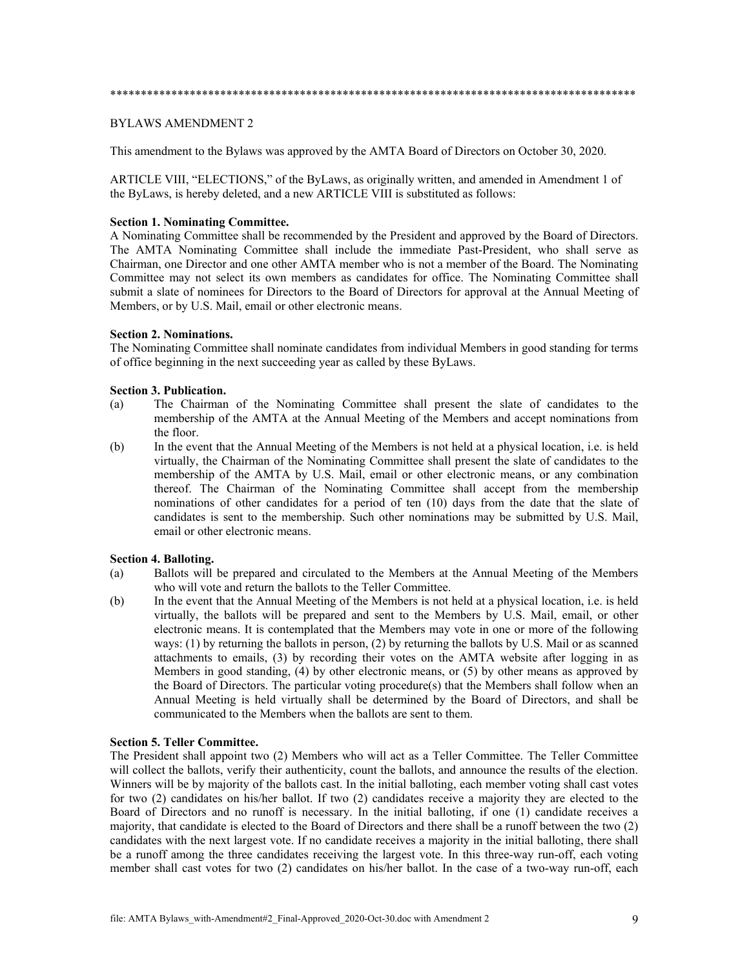#### BYLAWS AMENDMENT 2

This amendment to the Bylaws was approved by the AMTA Board of Directors on October 30, 2020.

ARTICLE VIII, "ELECTIONS," of the ByLaws, as originally written, and amended in Amendment 1 of the ByLaws, is hereby deleted, and a new ARTICLE VIII is substituted as follows:

#### **Section 1. Nominating Committee.**

A Nominating Committee shall be recommended by the President and approved by the Board of Directors. The AMTA Nominating Committee shall include the immediate Past-President, who shall serve as Chairman, one Director and one other AMTA member who is not a member of the Board. The Nominating Committee may not select its own members as candidates for office. The Nominating Committee shall submit a slate of nominees for Directors to the Board of Directors for approval at the Annual Meeting of Members, or by U.S. Mail, email or other electronic means.

#### **Section 2. Nominations.**

The Nominating Committee shall nominate candidates from individual Members in good standing for terms of office beginning in the next succeeding year as called by these ByLaws.

#### **Section 3. Publication.**

- (a) The Chairman of the Nominating Committee shall present the slate of candidates to the membership of the AMTA at the Annual Meeting of the Members and accept nominations from the floor.
- (b) In the event that the Annual Meeting of the Members is not held at a physical location, i.e. is held virtually, the Chairman of the Nominating Committee shall present the slate of candidates to the membership of the AMTA by U.S. Mail, email or other electronic means, or any combination thereof. The Chairman of the Nominating Committee shall accept from the membership nominations of other candidates for a period of ten (10) days from the date that the slate of candidates is sent to the membership. Such other nominations may be submitted by U.S. Mail, email or other electronic means.

#### **Section 4. Balloting.**

- (a) Ballots will be prepared and circulated to the Members at the Annual Meeting of the Members who will vote and return the ballots to the Teller Committee.
- (b) In the event that the Annual Meeting of the Members is not held at a physical location, i.e. is held virtually, the ballots will be prepared and sent to the Members by U.S. Mail, email, or other electronic means. It is contemplated that the Members may vote in one or more of the following ways: (1) by returning the ballots in person, (2) by returning the ballots by U.S. Mail or as scanned attachments to emails, (3) by recording their votes on the AMTA website after logging in as Members in good standing, (4) by other electronic means, or (5) by other means as approved by the Board of Directors. The particular voting procedure(s) that the Members shall follow when an Annual Meeting is held virtually shall be determined by the Board of Directors, and shall be communicated to the Members when the ballots are sent to them.

#### **Section 5. Teller Committee.**

The President shall appoint two (2) Members who will act as a Teller Committee. The Teller Committee will collect the ballots, verify their authenticity, count the ballots, and announce the results of the election. Winners will be by majority of the ballots cast. In the initial balloting, each member voting shall cast votes for two (2) candidates on his/her ballot. If two (2) candidates receive a majority they are elected to the Board of Directors and no runoff is necessary. In the initial balloting, if one (1) candidate receives a majority, that candidate is elected to the Board of Directors and there shall be a runoff between the two (2) candidates with the next largest vote. If no candidate receives a majority in the initial balloting, there shall be a runoff among the three candidates receiving the largest vote. In this three-way run-off, each voting member shall cast votes for two (2) candidates on his/her ballot. In the case of a two-way run-off, each